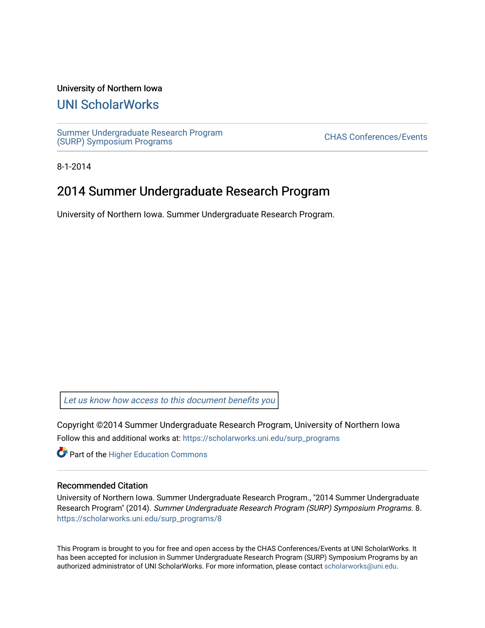#### University of Northern Iowa

## [UNI ScholarWorks](https://scholarworks.uni.edu/)

[Summer Undergraduate Research Program](https://scholarworks.uni.edu/surp_programs) Summer Undergraduate Research Program<br>[\(SURP\) Symposium Programs](https://scholarworks.uni.edu/surp_programs)

8-1-2014

## 2014 Summer Undergraduate Research Program

University of Northern Iowa. Summer Undergraduate Research Program.

[Let us know how access to this document benefits you](https://scholarworks.uni.edu/feedback_form.html) 

Copyright ©2014 Summer Undergraduate Research Program, University of Northern Iowa Follow this and additional works at: [https://scholarworks.uni.edu/surp\\_programs](https://scholarworks.uni.edu/surp_programs?utm_source=scholarworks.uni.edu%2Fsurp_programs%2F8&utm_medium=PDF&utm_campaign=PDFCoverPages)

**Part of the Higher Education Commons** 

#### Recommended Citation

University of Northern Iowa. Summer Undergraduate Research Program., "2014 Summer Undergraduate Research Program" (2014). Summer Undergraduate Research Program (SURP) Symposium Programs. 8. [https://scholarworks.uni.edu/surp\\_programs/8](https://scholarworks.uni.edu/surp_programs/8?utm_source=scholarworks.uni.edu%2Fsurp_programs%2F8&utm_medium=PDF&utm_campaign=PDFCoverPages)

This Program is brought to you for free and open access by the CHAS Conferences/Events at UNI ScholarWorks. It has been accepted for inclusion in Summer Undergraduate Research Program (SURP) Symposium Programs by an authorized administrator of UNI ScholarWorks. For more information, please contact [scholarworks@uni.edu.](mailto:scholarworks@uni.edu)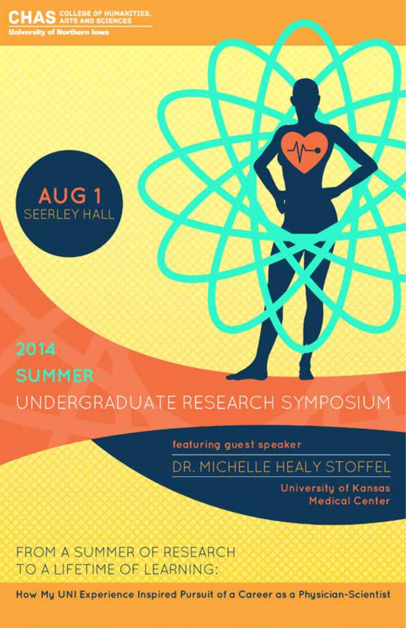AS COLLEGE OF HUMANITIES. **University of Northern Iowa** 



# 2014 **SUMMER** UNDERGRADUATE RESEARCH SYMPOSIUM

featuring guest speaker

DR. MICHELLE HEALY STOFFEL

**University of Kansas Medical Center** 

**FROM A SUMMER OF RESEARCH** TO A LIFETIME OF LEARNING:

How My UNI Experience Inspired Pursuit of a Career as a Physician-Scientist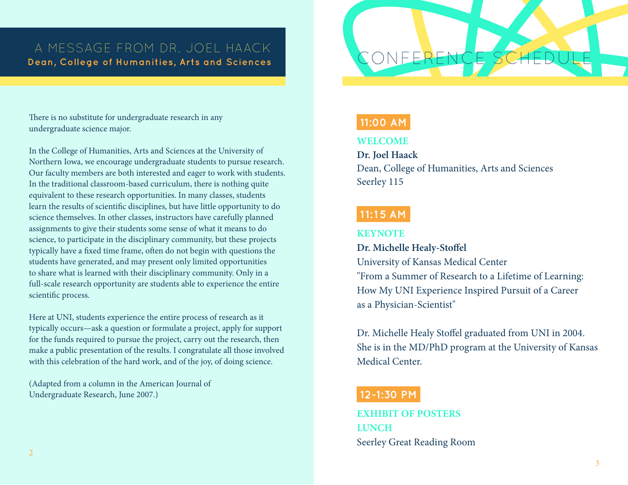## A MESSAGE FROM DR. JOEL HAACK **Dean, College of Humanities, Arts and Sciences**

### There is no substitute for undergraduate research in any undergraduate science major.

In the College of Humanities, Arts and Sciences at the University of Northern Iowa, we encourage undergraduate students to pursue research. Our faculty members are both interested and eager to work with students. In the traditional classroom-based curriculum, there is nothing quite equivalent to these research opportunities. In many classes, students learn the results of scientific disciplines, but have little opportunity to do science themselves. In other classes, instructors have carefully planned assignments to give their students some sense of what it means to do science, to participate in the disciplinary community, but these projects typically have a fixed time frame, often do not begin with questions the students have generated, and may present only limited opportunities to share what is learned with their disciplinary community. Only in a full-scale research opportunity are students able to experience the entire scientific process.

Here at UNI, students experience the entire process of research as it typically occurs—ask a question or formulate a project, apply for support for the funds required to pursue the project, carry out the research, then make a public presentation of the results. I congratulate all those involved with this celebration of the hard work, and of the joy, of doing science.

(Adapted from a column in the American Journal of Undergraduate Research, June 2007.)

### **11:00 AM**

### **WELCOME**

### **Dr. Joel Haack**

Dean, College of Humanities, Arts and Sciences Seerley 115

## **11:15 AM**

### **KEYNOTE**

**Dr. Michelle Healy-Stoffel** University of Kansas Medical Center "From a Summer of Research to a Lifetime of Learning: How My UNI Experience Inspired Pursuit of a Career as a Physician-Scientist"

Dr. Michelle Healy Stoffel graduated from UNI in 2004. She is in the MD/PhD program at the University of Kansas Medical Center.

## **12-1:30 PM**

**EXHIBIT OF POSTERS LUNCH** Seerley Great Reading Room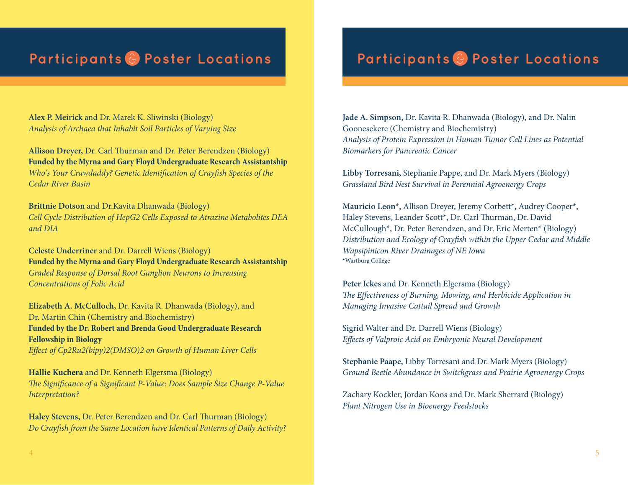### **Alex P. Meirick** and Dr. Marek K. Sliwinski (Biology) *Analysis of Archaea that Inhabit Soil Particles of Varying Size*

**Allison Dreyer,** Dr. Carl Thurman and Dr. Peter Berendzen (Biology) **Funded by the Myrna and Gary Floyd Undergraduate Research Assistantship** *Who's Your Crawdaddy? Genetic Identification of Crayfish Species of the Cedar River Basin*

**Brittnie Dotson** and Dr.Kavita Dhanwada (Biology) *Cell Cycle Distribution of HepG2 Cells Exposed to Atrazine Metabolites DEA and DIA*

**Celeste Underriner** and Dr. Darrell Wiens (Biology) **Funded by the Myrna and Gary Floyd Undergraduate Research Assistantship** *Graded Response of Dorsal Root Ganglion Neurons to Increasing Concentrations of Folic Acid*

**Elizabeth A. McCulloch,** Dr. Kavita R. Dhanwada (Biology), and Dr. Martin Chin (Chemistry and Biochemistry) **Funded by the Dr. Robert and Brenda Good Undergraduate Research Fellowship in Biology** *Effect of Cp2Ru2(bipy)2(DMSO)2 on Growth of Human Liver Cells*

**Hallie Kuchera** and Dr. Kenneth Elgersma (Biology) *The Significance of a Significant P-Value: Does Sample Size Change P-Value Interpretation?*

**Haley Stevens,** Dr. Peter Berendzen and Dr. Carl Thurman (Biology) *Do Crayfish from the Same Location have Identical Patterns of Daily Activity?*

## **Participants** & **Poster Locations Participants** & **Poster Locations**

**Jade A. Simpson,** Dr. Kavita R. Dhanwada (Biology), and Dr. Nalin Goonesekere (Chemistry and Biochemistry) *Analysis of Protein Expression in Human Tumor Cell Lines as Potential Biomarkers for Pancreatic Cancer*

**Libby Torresani,** Stephanie Pappe, and Dr. Mark Myers (Biology) *Grassland Bird Nest Survival in Perennial Agroenergy Crops*

**Mauricio Leon\*,** Allison Dreyer, Jeremy Corbett\*, Audrey Cooper\*, Haley Stevens, Leander Scott\*, Dr. Carl Thurman, Dr. David McCullough\*, Dr. Peter Berendzen, and Dr. Eric Merten\* (Biology) *Distribution and Ecology of Crayfish within the Upper Cedar and Middle Wapsipinicon River Drainages of NE Iowa*  \*Wartburg College

**Peter Ickes** and Dr. Kenneth Elgersma (Biology) *The Effectiveness of Burning, Mowing, and Herbicide Application in Managing Invasive Cattail Spread and Growth*

Sigrid Walter and Dr. Darrell Wiens (Biology) *Effects of Valproic Acid on Embryonic Neural Development*

**Stephanie Paape,** Libby Torresani and Dr. Mark Myers (Biology) *Ground Beetle Abundance in Switchgrass and Prairie Agroenergy Crops*

Zachary Kockler, Jordan Koos and Dr. Mark Sherrard (Biology) *Plant Nitrogen Use in Bioenergy Feedstocks*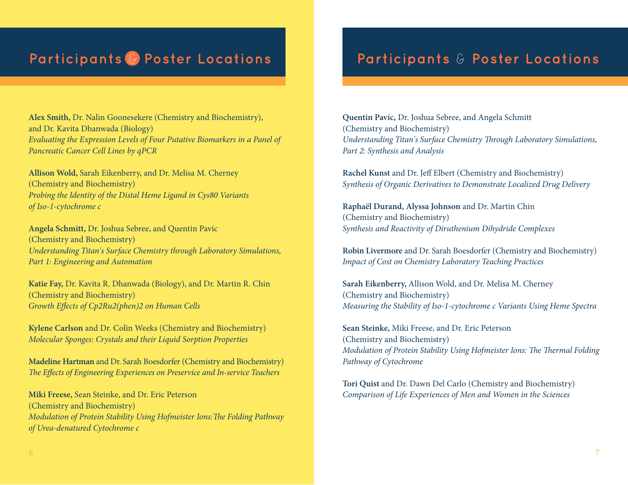## **Participants** & **Poster Locations Participants** & **Poster Locations**

**Alex Smith,** Dr. Nalin Goonesekere (Chemistry and Biochemistry), and Dr. Kavita Dhanwada (Biology) *Evaluating the Expression Levels of Four Putative Biomarkers in a Panel of Pancreatic Cancer Cell Lines by qPCR*

**Allison Wold,** Sarah Eikenberry, and Dr. Melisa M. Cherney (Chemistry and Biochemistry) *Probing the Identity of the Distal Heme Ligand in Cys80 Variants of Iso-1-cytochrome c*

**Angela Schmitt,** Dr. Joshua Sebree, and Quentin Pavic (Chemistry and Biochemistry) *Understanding Titan's Surface Chemistry through Laboratory Simulations, Part 1: Engineering and Automation*

**Katie Fay,** Dr. Kavita R. Dhanwada (Biology), and Dr. Martin R. Chin (Chemistry and Biochemistry) *Growth Effects of Cp2Ru2(phen)2 on Human Cells*

**Kylene Carlson** and Dr. Colin Weeks (Chemistry and Biochemistry) *Molecular Sponges: Crystals and their Liquid Sorption Properties*

**Madeline Hartman** and Dr. Sarah Boesdorfer (Chemistry and Biochemistry) *The Effects of Engineering Experiences on Preservice and In-service Teachers*

**Miki Freese,** Sean Steinke, and Dr. Eric Peterson (Chemistry and Biochemistry) *Modulation of Protein Stability Using Hofmeister Ions:The Folding Pathway of Urea-denatured Cytochrome c* 

**Quentin Pavic,** Dr. Joshua Sebree, and Angela Schmitt (Chemistry and Biochemistry) *Understanding Titan's Surface Chemistry Through Laboratory Simulations, Part 2: Synthesis and Analysis*

**Rachel Kunst** and Dr. Jeff Elbert (Chemistry and Biochemistry) *Synthesis of Organic Derivatives to Demonstrate Localized Drug Delivery*

**Raphaël Durand, Alyssa Johnson** and Dr. Martin Chin (Chemistry and Biochemistry) *Synthesis and Reactivity of Diruthenium Dihydride Complexes*

**Robin Livermore** and Dr. Sarah Boesdorfer (Chemistry and Biochemistry) *Impact of Cost on Chemistry Laboratory Teaching Practices*

**Sarah Eikenberry,** Allison Wold, and Dr. Melisa M. Cherney (Chemistry and Biochemistry) *Measuring the Stability of Iso-1-cytochrome c Variants Using Heme Spectra*

**Sean Steinke,** Miki Freese, and Dr. Eric Peterson (Chemistry and Biochemistry) *Modulation of Protein Stability Using Hofmeister Ions: The Thermal Folding Pathway of Cytochrome* 

**Tori Quist** and Dr. Dawn Del Carlo (Chemistry and Biochemistry) *Comparison of Life Experiences of Men and Women in the Sciences*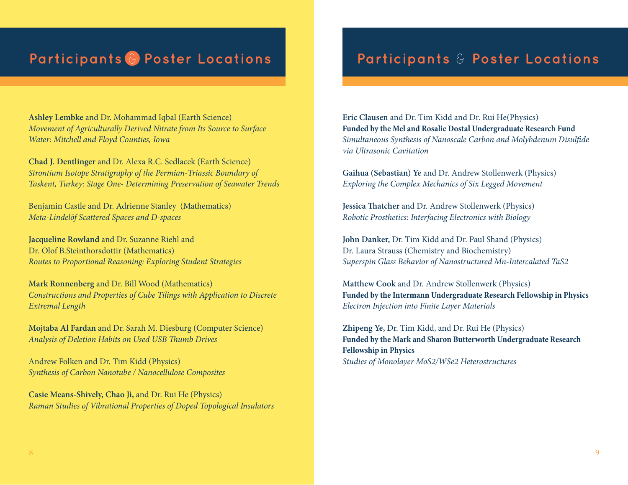# **Participants** & **Poster Locations Participants** & **Poster Locations**

**Ashley Lembke** and Dr. Mohammad Iqbal (Earth Science) *Movement of Agriculturally Derived Nitrate from Its Source to Surface Water: Mitchell and Floyd Counties, Iowa*

**Chad J. Dentlinger** and Dr. Alexa R.C. Sedlacek (Earth Science) *Strontium Isotope Stratigraphy of the Permian-Triassic Boundary of Taskent, Turkey: Stage One- Determining Preservation of Seawater Trends*

Benjamin Castle and Dr. Adrienne Stanley (Mathematics) *Meta-Lindelöf Scattered Spaces and D-spaces*

**Jacqueline Rowland** and Dr. Suzanne Riehl and Dr. Olof B.Steinthorsdottir (Mathematics) *Routes to Proportional Reasoning: Exploring Student Strategies*

**Mark Ronnenberg** and Dr. Bill Wood (Mathematics) *Constructions and Properties of Cube Tilings with Application to Discrete Extremal Length*

**Mojtaba Al Fardan** and Dr. Sarah M. Diesburg (Computer Science) *Analysis of Deletion Habits on Used USB Thumb Drives*

Andrew Folken and Dr. Tim Kidd (Physics) *Synthesis of Carbon Nanotube / Nanocellulose Composites*

**Casie Means-Shively, Chao Ji,** and Dr. Rui He (Physics) *Raman Studies of Vibrational Properties of Doped Topological Insulators*

**Eric Clausen** and Dr. Tim Kidd and Dr. Rui He(Physics) **Funded by the Mel and Rosalie Dostal Undergraduate Research Fund** *Simultaneous Synthesis of Nanoscale Carbon and Molybdenum Disulfide via Ultrasonic Cavitation*

**Gaihua (Sebastian) Ye** and Dr. Andrew Stollenwerk (Physics) *Exploring the Complex Mechanics of Six Legged Movement*

**Jessica Thatcher** and Dr. Andrew Stollenwerk (Physics) *Robotic Prosthetics: Interfacing Electronics with Biology*

**John Danker,** Dr. Tim Kidd and Dr. Paul Shand (Physics) Dr. Laura Strauss (Chemistry and Biochemistry) *Superspin Glass Behavior of Nanostructured Mn-Intercalated TaS2*

**Matthew Cook** and Dr. Andrew Stollenwerk (Physics) **Funded by the Intermann Undergraduate Research Fellowship in Physics** *Electron Injection into Finite Layer Materials*

**Zhipeng Ye,** Dr. Tim Kidd, and Dr. Rui He (Physics) **Funded by the Mark and Sharon Butterworth Undergraduate Research Fellowship in Physics** *Studies of Monolayer MoS2/WSe2 Heterostructures*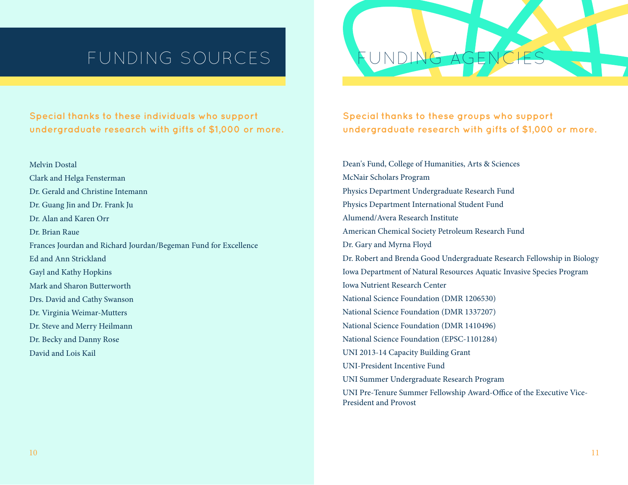# FUNDING SOURCES

**Special thanks to these individuals who support undergraduate research with gifts of \$1,000 or more.**

Melvin Dostal Clark and Helga Fensterman Dr. Gerald and Christine Intemann Dr. Guang Jin and Dr. Frank Ju Dr. Alan and Karen Orr Dr. Brian Raue Frances Jourdan and Richard Jourdan/Begeman Fund for Excellence Ed and Ann Strickland Gayl and Kathy Hopkins Mark and Sharon Butterworth Drs. David and Cathy Swanson Dr. Virginia Weimar-Mutters Dr. Steve and Merry Heilmann Dr. Becky and Danny Rose David and Lois Kail

**Special thanks to these groups who support undergraduate research with gifts of \$1,000 or more.**

Dean's Fund, College of Humanities, Arts & Sciences McNair Scholars Program Physics Department Undergraduate Research Fund Physics Department International Student Fund Alumend/Avera Research Institute American Chemical Society Petroleum Research Fund Dr. Gary and Myrna Floyd Dr. Robert and Brenda Good Undergraduate Research Fellowship in Biology Iowa Department of Natural Resources Aquatic Invasive Species Program Iowa Nutrient Research Center National Science Foundation (DMR 1206530) National Science Foundation (DMR 1337207) National Science Foundation (DMR 1410496) National Science Foundation (EPSC-1101284) UNI 2013-14 Capacity Building Grant UNI-President Incentive Fund UNI Summer Undergraduate Research Program UNI Pre-Tenure Summer Fellowship Award-Office of the Executive Vice-

President and Provost